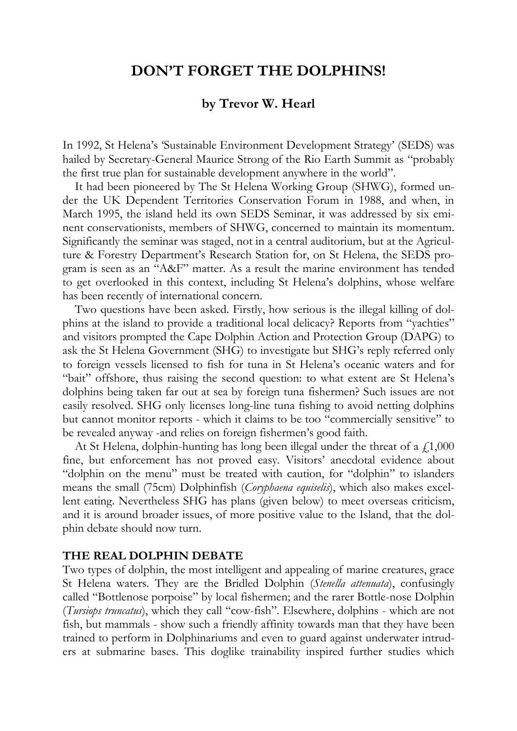# **DON'T FORGET THE DOLPHINS!**

# **by Trevor W. Hearl**

In 1992, St Helena's 'Sustainable Environment Development Strategy' (SEDS) was hailed by Secretary-General Maurice Strong of the Rio Earth Summit as "probably the first true plan for sustainable development anywhere in the world".

It had been pioneered by The St Helena Working Group (SHWG), formed under the UK Dependent Territories Conservation Forum in 1988, and when, in March 1995, the island held its own SEDS Seminar, it was addressed by six eminent conservationists, members of SHWG, concerned to maintain its momentum. Significantly the seminar was staged, not in a central auditorium, but at the Agriculture & Forestry Department's Research Station for, on St Helena, the SEDS program is seen as an "A&F" matter. As a result the marine environment has tended to get overlooked in this context, including St Helena's dolphins, whose welfare has been recently of international concern.

Two questions have been asked. Firstly, how serious is the illegal killing of dolphins at the island to provide a traditional local delicacy? Reports from "yachties" and visitors prompted the Cape Dolphin Action and Protection Group (DAPG) to ask the St Helena Government (SHG) to investigate but SHG's reply referred only to foreign vessels licensed to fish for tuna in St Helena's oceanic waters and for "bait" offshore, thus raising the second question: to what extent are St Helena's dolphins being taken far out at sea by foreign tuna fishermen? Such issues are not easily resolved. SHG only licenses long-line tuna fishing to avoid netting dolphins but cannot monitor reports - which it claims to be too "commercially sensitive" to be revealed anyway -and relies on foreign fishermen's good faith.

At St Helena, dolphin-hunting has long been illegal under the threat of a  $\dot{\gamma}$  1,000 fine, but enforcement has not proved easy. Visitors' anecdotal evidence about "dolphin on the menu" must be treated with caution, for "dolphin" to islanders means the small (75cm) Dolphinfish (*Coryphaena equiselis*), which also makes excellent eating. Nevertheless SHG has plans (given below) to meet overseas criticism, and it is around broader issues, of more positive value to the Island, that the dolphin debate should now turn.

#### **THE REAL DOLPHIN DEBATE**

Two types of dolphin, the most intelligent and appealing of marine creatures, grace St Helena waters. They are the Bridled Dolphin (*Stenella attenuata*), confusingly called "Bottlenose porpoise" by local fishermen; and the rarer Bottle-nose Dolphin (*Tursiops truncatus*), which they call "cow-fish". Elsewhere, dolphins - which are not fish, but mammals - show such a friendly affinity towards man that they have been trained to perform in Dolphinariums and even to guard against underwater intruders at submarine bases. This doglike trainability inspired further studies which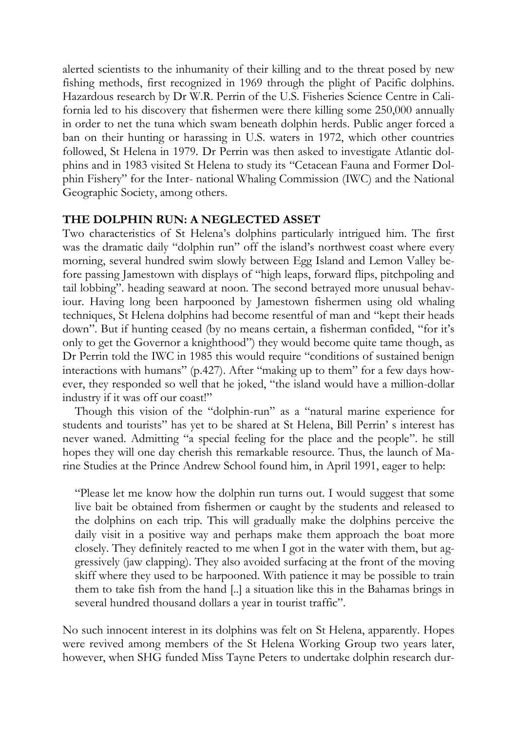alerted scientists to the inhumanity of their killing and to the threat posed by new fishing methods, first recognized in 1969 through the plight of Pacific dolphins. Hazardous research by Dr W.R. Perrin of the U.S. Fisheries Science Centre in California led to his discovery that fishermen were there killing some 250,000 annually in order to net the tuna which swam beneath dolphin herds. Public anger forced a ban on their hunting or harassing in U.S. waters in 1972, which other countries followed, St Helena in 1979. Dr Perrin was then asked to investigate Atlantic dolphins and in 1983 visited St Helena to study its "Cetacean Fauna and Former Dolphin Fishery" for the Inter- national Whaling Commission (IWC) and the National Geographic Society, among others.

## **THE DOLPHIN RUN: A NEGLECTED ASSET**

Two characteristics of St Helena's dolphins particularly intrigued him. The first was the dramatic daily "dolphin run" off the island's northwest coast where every morning, several hundred swim slowly between Egg Island and Lemon Valley before passing Jamestown with displays of "high leaps, forward flips, pitchpoling and tail lobbing". heading seaward at noon. The second betrayed more unusual behaviour. Having long been harpooned by Jamestown fishermen using old whaling techniques, St Helena dolphins had become resentful of man and "kept their heads down". But if hunting ceased (by no means certain, a fisherman confided, "for it's only to get the Governor a knighthood") they would become quite tame though, as Dr Perrin told the IWC in 1985 this would require "conditions of sustained benign interactions with humans" (p.427). After "making up to them" for a few days however, they responded so well that he joked, "the island would have a million-dollar industry if it was off our coast!"

Though this vision of the "dolphin-run" as a "natural marine experience for students and tourists" has yet to be shared at St Helena, Bill Perrin' s interest has never waned. Admitting "a special feeling for the place and the people". he still hopes they will one day cherish this remarkable resource. Thus, the launch of Marine Studies at the Prince Andrew School found him, in April 1991, eager to help:

"Please let me know how the dolphin run turns out. I would suggest that some live bait be obtained from fishermen or caught by the students and released to the dolphins on each trip. This will gradually make the dolphins perceive the daily visit in a positive way and perhaps make them approach the boat more closely. They definitely reacted to me when I got in the water with them, but aggressively (jaw clapping). They also avoided surfacing at the front of the moving skiff where they used to be harpooned. With patience it may be possible to train them to take fish from the hand [..] a situation like this in the Bahamas brings in several hundred thousand dollars a year in tourist traffic".

No such innocent interest in its dolphins was felt on St Helena, apparently. Hopes were revived among members of the St Helena Working Group two years later, however, when SHG funded Miss Tayne Peters to undertake dolphin research dur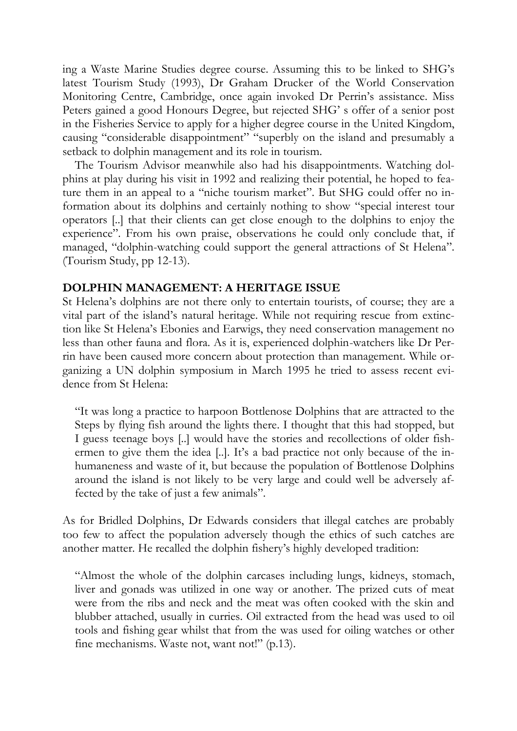ing a Waste Marine Studies degree course. Assuming this to be linked to SHG's latest Tourism Study (1993), Dr Graham Drucker of the World Conservation Monitoring Centre, Cambridge, once again invoked Dr Perrin's assistance. Miss Peters gained a good Honours Degree, but rejected SHG' s offer of a senior post in the Fisheries Service to apply for a higher degree course in the United Kingdom, causing "considerable disappointment" "superbly on the island and presumably a setback to dolphin management and its role in tourism.

The Tourism Advisor meanwhile also had his disappointments. Watching dolphins at play during his visit in 1992 and realizing their potential, he hoped to feature them in an appeal to a "niche tourism market". But SHG could offer no information about its dolphins and certainly nothing to show "special interest tour operators [..] that their clients can get close enough to the dolphins to enjoy the experience". From his own praise, observations he could only conclude that, if managed, "dolphin-watching could support the general attractions of St Helena". (Tourism Study, pp 12-13).

### **DOLPHIN MANAGEMENT: A HERITAGE ISSUE**

St Helena's dolphins are not there only to entertain tourists, of course; they are a vital part of the island's natural heritage. While not requiring rescue from extinction like St Helena's Ebonies and Earwigs, they need conservation management no less than other fauna and flora. As it is, experienced dolphin-watchers like Dr Perrin have been caused more concern about protection than management. While organizing a UN dolphin symposium in March 1995 he tried to assess recent evidence from St Helena:

"It was long a practice to harpoon Bottlenose Dolphins that are attracted to the Steps by flying fish around the lights there. I thought that this had stopped, but I guess teenage boys [..] would have the stories and recollections of older fishermen to give them the idea [..]. It's a bad practice not only because of the inhumaneness and waste of it, but because the population of Bottlenose Dolphins around the island is not likely to be very large and could well be adversely affected by the take of just a few animals".

As for Bridled Dolphins, Dr Edwards considers that illegal catches are probably too few to affect the population adversely though the ethics of such catches are another matter. He recalled the dolphin fishery's highly developed tradition:

"Almost the whole of the dolphin carcases including lungs, kidneys, stomach, liver and gonads was utilized in one way or another. The prized cuts of meat were from the ribs and neck and the meat was often cooked with the skin and blubber attached, usually in curries. Oil extracted from the head was used to oil tools and fishing gear whilst that from the was used for oiling watches or other fine mechanisms. Waste not, want not!" (p.13).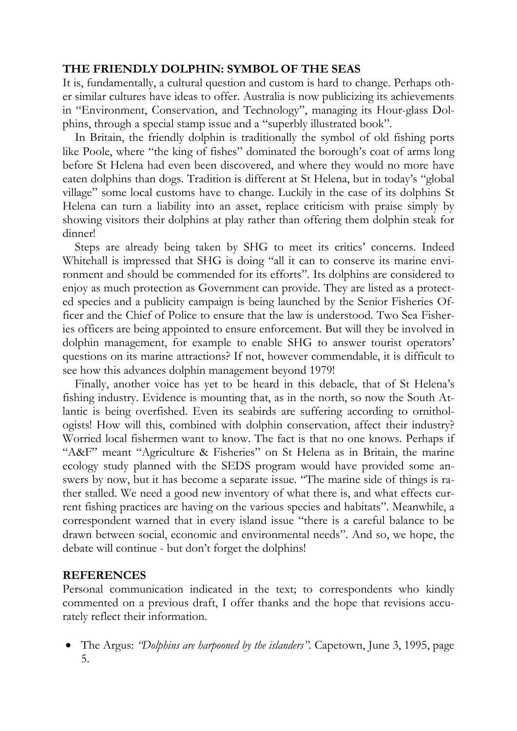# **THE FRIENDLY DOLPHIN: SYMBOL OF THE SEAS**

It is, fundamentally, a cultural question and custom is hard to change. Perhaps other similar cultures have ideas to offer. Australia is now publicizing its achievements in "Environment, Conservation, and Technology", managing its Hour-glass Dolphins, through a special stamp issue and a "superbly illustrated book".

In Britain, the friendly dolphin is traditionally the symbol of old fishing ports like Poole, where "the king of fishes" dominated the borough's coat of arms long before St Helena had even been discovered, and where they would no more have eaten dolphins than dogs. Tradition is different at St Helena, but in today's "global village" some local customs have to change. Luckily in the case of its dolphins St Helena can turn a liability into an asset, replace criticism with praise simply by showing visitors their dolphins at play rather than offering them dolphin steak for dinner!

Steps are already being taken by SHG to meet its critics' concerns. Indeed Whitehall is impressed that SHG is doing "all it can to conserve its marine environment and should be commended for its efforts". Its dolphins are considered to enjoy as much protection as Government can provide. They are listed as a protected species and a publicity campaign is being launched by the Senior Fisheries Officer and the Chief of Police to ensure that the law is understood. Two Sea Fisheries officers are being appointed to ensure enforcement. But will they be involved in dolphin management, for example to enable SHG to answer tourist operators' questions on its marine attractions? If not, however commendable, it is difficult to see how this advances dolphin management beyond 1979!

Finally, another voice has yet to be heard in this debacle, that of St Helena's fishing industry. Evidence is mounting that, as in the north, so now the South Atlantic is being overfished. Even its seabirds are suffering according to ornithologists! How will this, combined with dolphin conservation, affect their industry? Worried local fishermen want to know. The fact is that no one knows. Perhaps if "A&F" meant "Agriculture & Fisheries" on St Helena as in Britain, the marine ecology study planned with the SEDS program would have provided some answers by now, but it has become a separate issue. "The marine side of things is rather stalled. We need a good new inventory of what there is, and what effects current fishing practices are having on the various species and habitats". Meanwhile, a correspondent warned that in every island issue "there is a careful balance to be drawn between social, economic and environmental needs". And so, we hope, the debate will continue - but don't forget the dolphins!

### **REFERENCES**

Personal communication indicated in the text; to correspondents who kindly commented on a previous draft, I offer thanks and the hope that revisions accurately reflect their information.

 The Argus: *"Dolphins are harpooned by the islanders".* Capetown, June 3, 1995, page 5.